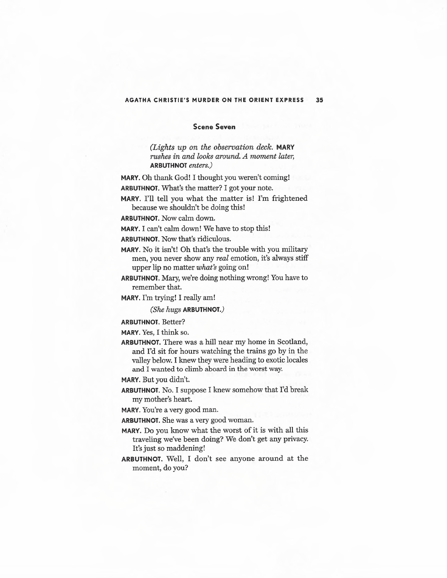## **AGATHA CHRISTIE'S MURDER ON THE ORIENT EXPRESS 35**

## **Scene Seven**

*(Lights up on the observation deck.* **MARY**  *rushes in and looks around. A moment later,*  **ARBUTHNOT** *enters.)* 

**MARY.** Oh thank God! I thought you weren't coming! **ARBUTHNOT.** What's the matter? I got your note.

**MARY.** I'll tell you what the matter is! I'm frightened because we shouldn't be doing this!

**ARBUTHNOT.** Now calm down.

**MARY.** I can't calm down! We have to stop this!

**ARBUTHNOT.** Now that's ridiculous.

**MARY.** No it isn't! Oh that's the trouble with you military men, you never show any *real* emotion, it's always stiff upper lip no matter *what's* going on!

**ARBUTHNOT.** Mary, we're doing nothing wrong! You have to remember that.

**MARY.** I'm trying! I really am!

*(She hugs* **ARBUTHNOT.)** 

**ARBUTHNOT.** Better?

**MARY.** Yes, I think so.

**ARBUTHNOT.** There was a hill near my home in Scotland, and I'd sit for hours watching the trains go by in the valley below. I knew they were heading to exotic locales and I wanted to climb aboard in the worst way.

**MARY.** But you didn't.

**ARBUTHNOT.** No. I suppose I knew somehow that I'd break my mother's heart.

**MARY.** You're a very good man.

**ARBUTHNOT.** She was a very good woman.

- MARY. Do you know what the worst of it is with all this traveling we've been doing? We don't get any privacy. It's just so maddening!
- **ARBUTHNOT.** Well, I don't see anyone around at the moment, do you?